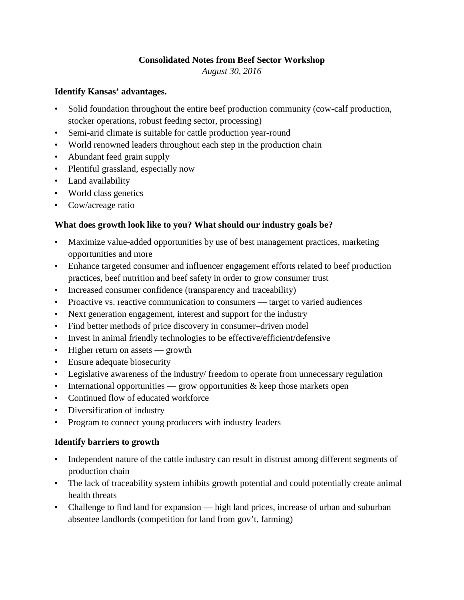### **Consolidated Notes from Beef Sector Workshop**

*August 30, 2016*

#### **Identify Kansas' advantages.**

- Solid foundation throughout the entire beef production community (cow-calf production, stocker operations, robust feeding sector, processing)
- Semi-arid climate is suitable for cattle production year-round
- World renowned leaders throughout each step in the production chain
- Abundant feed grain supply
- Plentiful grassland, especially now
- Land availability
- World class genetics
- Cow/acreage ratio

## **What does growth look like to you? What should our industry goals be?**

- Maximize value-added opportunities by use of best management practices, marketing opportunities and more
- Enhance targeted consumer and influencer engagement efforts related to beef production practices, beef nutrition and beef safety in order to grow consumer trust
- Increased consumer confidence (transparency and traceability)
- Proactive vs. reactive communication to consumers target to varied audiences
- Next generation engagement, interest and support for the industry
- Find better methods of price discovery in consumer–driven model
- Invest in animal friendly technologies to be effective/efficient/defensive
- Higher return on assets growth
- Ensure adequate biosecurity
- Legislative awareness of the industry/ freedom to operate from unnecessary regulation
- International opportunities grow opportunities  $\&$  keep those markets open
- Continued flow of educated workforce
- Diversification of industry
- Program to connect young producers with industry leaders

### **Identify barriers to growth**

- Independent nature of the cattle industry can result in distrust among different segments of production chain
- The lack of traceability system inhibits growth potential and could potentially create animal health threats
- Challenge to find land for expansion high land prices, increase of urban and suburban absentee landlords (competition for land from gov't, farming)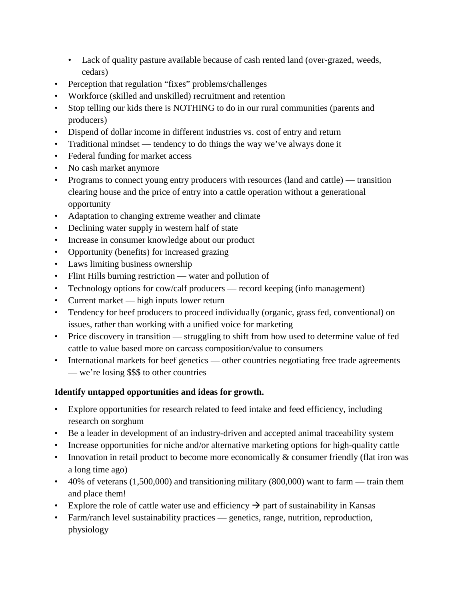- Lack of quality pasture available because of cash rented land (over-grazed, weeds, cedars)
- Perception that regulation "fixes" problems/challenges
- Workforce (skilled and unskilled) recruitment and retention
- Stop telling our kids there is NOTHING to do in our rural communities (parents and producers)
- Dispend of dollar income in different industries vs. cost of entry and return
- Traditional mindset tendency to do things the way we've always done it
- Federal funding for market access
- No cash market anymore
- Programs to connect young entry producers with resources (land and cattle) transition clearing house and the price of entry into a cattle operation without a generational opportunity
- Adaptation to changing extreme weather and climate
- Declining water supply in western half of state
- Increase in consumer knowledge about our product
- Opportunity (benefits) for increased grazing
- Laws limiting business ownership
- Flint Hills burning restriction water and pollution of
- Technology options for cow/calf producers record keeping (info management)
- Current market high inputs lower return
- Tendency for beef producers to proceed individually (organic, grass fed, conventional) on issues, rather than working with a unified voice for marketing
- Price discovery in transition struggling to shift from how used to determine value of fed cattle to value based more on carcass composition/value to consumers
- International markets for beef genetics other countries negotiating free trade agreements — we're losing \$\$\$ to other countries

# **Identify untapped opportunities and ideas for growth.**

- Explore opportunities for research related to feed intake and feed efficiency, including research on sorghum
- Be a leader in development of an industry-driven and accepted animal traceability system
- Increase opportunities for niche and/or alternative marketing options for high-quality cattle
- Innovation in retail product to become more economically  $\&$  consumer friendly (flat iron was a long time ago)
- 40% of veterans (1,500,000) and transitioning military (800,000) want to farm train them and place them!
- Explore the role of cattle water use and efficiency  $\rightarrow$  part of sustainability in Kansas
- Farm/ranch level sustainability practices genetics, range, nutrition, reproduction, physiology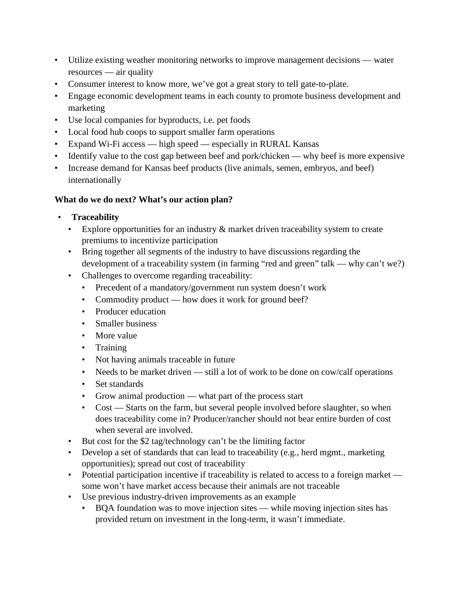- Utilize existing weather monitoring networks to improve management decisions water resources — air quality
- Consumer interest to know more, we've got a great story to tell gate-to-plate.
- Engage economic development teams in each county to promote business development and marketing
- Use local companies for byproducts, i.e. pet foods
- Local food hub coops to support smaller farm operations
- Expand Wi-Fi access high speed especially in RURAL Kansas
- Identify value to the cost gap between beef and pork/chicken why beef is more expensive
- Increase demand for Kansas beef products (live animals, semen, embryos, and beef) internationally

# **What do we do next? What's our action plan?**

- **Traceability** 
	- Explore opportunities for an industry  $\&$  market driven traceability system to create premiums to incentivize participation
	- Bring together all segments of the industry to have discussions regarding the development of a traceability system (in farming "red and green" talk — why can't we?)
	- Challenges to overcome regarding traceability:
		- Precedent of a mandatory/government run system doesn't work
		- Commodity product how does it work for ground beef?
		- Producer education
		- Smaller business
		- More value
		- Training
		- Not having animals traceable in future
		- Needs to be market driven still a lot of work to be done on cow/calf operations
		- Set standards
		- Grow animal production what part of the process start
		- Cost Starts on the farm, but several people involved before slaughter, so when does traceability come in? Producer/rancher should not bear entire burden of cost when several are involved.
	- But cost for the \$2 tag/technology can't be the limiting factor
	- Develop a set of standards that can lead to traceability (e.g., herd mgmt., marketing opportunities); spread out cost of traceability
	- Potential participation incentive if traceability is related to access to a foreign market some won't have market access because their animals are not traceable
	- Use previous industry-driven improvements as an example
		- BQA foundation was to move injection sites while moving injection sites has provided return on investment in the long-term, it wasn't immediate.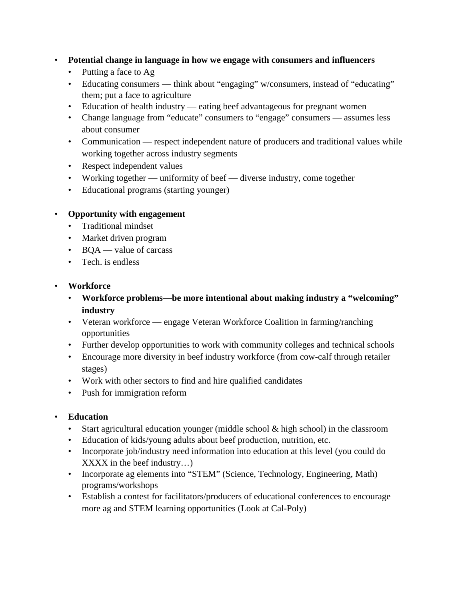- **Potential change in language in how we engage with consumers and influencers** 
	- Putting a face to Ag
	- Educating consumers think about "engaging" w/consumers, instead of "educating" them; put a face to agriculture
	- Education of health industry eating beef advantageous for pregnant women
	- Change language from "educate" consumers to "engage" consumers assumes less about consumer
	- Communication respect independent nature of producers and traditional values while working together across industry segments
	- Respect independent values
	- Working together uniformity of beef diverse industry, come together
	- Educational programs (starting younger)

## • **Opportunity with engagement**

- Traditional mindset
- Market driven program
- BQA value of carcass
- Tech is endless

## • **Workforce**

- **Workforce problems—be more intentional about making industry a "welcoming" industry**
- Veteran workforce engage Veteran Workforce Coalition in farming/ranching opportunities
- Further develop opportunities to work with community colleges and technical schools
- Encourage more diversity in beef industry workforce (from cow-calf through retailer stages)
- Work with other sectors to find and hire qualified candidates
- Push for immigration reform

# • **Education**

- Start agricultural education younger (middle school & high school) in the classroom
- Education of kids/young adults about beef production, nutrition, etc.
- Incorporate job/industry need information into education at this level (you could do XXXX in the beef industry…)
- Incorporate ag elements into "STEM" (Science, Technology, Engineering, Math) programs/workshops
- Establish a contest for facilitators/producers of educational conferences to encourage more ag and STEM learning opportunities (Look at Cal-Poly)